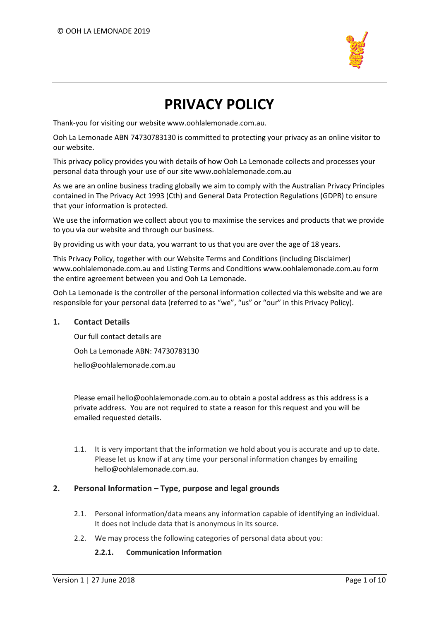

# **PRIVACY POLICY**

Thank-you for visiting our website www.oohlalemonade.com.au.

Ooh La Lemonade ABN 74730783130 is committed to protecting your privacy as an online visitor to our website.

This privacy policy provides you with details of how Ooh La Lemonade collects and processes your personal data through your use of our site www.oohlalemonade.com.au

As we are an online business trading globally we aim to comply with the Australian Privacy Principles contained in The Privacy Act 1993 (Cth) and General Data Protection Regulations (GDPR) to ensure that your information is protected.

We use the information we collect about you to maximise the services and products that we provide to you via our website and through our business.

By providing us with your data, you warrant to us that you are over the age of 18 years.

This Privacy Policy, together with our Website Terms and Conditions (including Disclaimer) www.oohlalemonade.com.au and Listing Terms and Conditions www.oohlalemonade.com.au form the entire agreement between you and Ooh La Lemonade.

Ooh La Lemonade is the controller of the personal information collected via this website and we are responsible for your personal data (referred to as "we", "us" or "our" in this Privacy Policy).

# **1. Contact Details**

Our full contact details are Ooh La Lemonade ABN: 74730783130 hello@oohlalemonade.com.au

Please email hello@oohlalemonade.com.au to obtain a postal address as this address is a private address. You are not required to state a reason for this request and you will be emailed requested details.

1.1. It is very important that the information we hold about you is accurate and up to date. Please let us know if at any time your personal information changes by emailing hello@oohlalemonade.com.au.

# **2. Personal Information – Type, purpose and legal grounds**

- 2.1. Personal information/data means any information capable of identifying an individual. It does not include data that is anonymous in its source.
- 2.2. We may process the following categories of personal data about you:

# **2.2.1. Communication Information**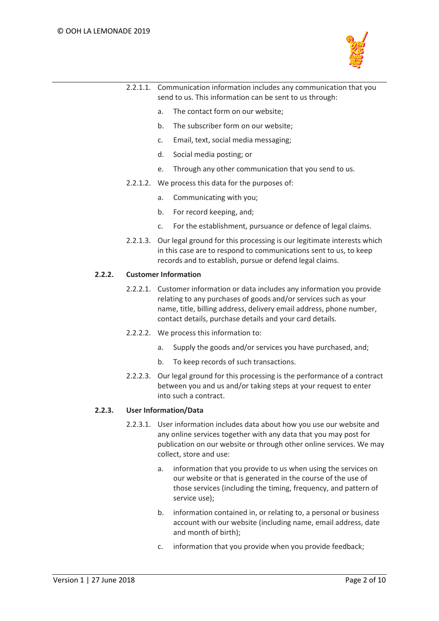

| 2.2.1.1. Communication information includes any communication that you |
|------------------------------------------------------------------------|
| send to us. This information can be sent to us through:                |

- a. The contact form on our website;
- b. The subscriber form on our website;
- c. Email, text, social media messaging;
- d. Social media posting; or
- e. Through any other communication that you send to us.
- 2.2.1.2. We process this data for the purposes of:
	- a. Communicating with you;
	- b. For record keeping, and;
	- c. For the establishment, pursuance or defence of legal claims.
- 2.2.1.3. Our legal ground for this processing is our legitimate interests which in this case are to respond to communications sent to us, to keep records and to establish, pursue or defend legal claims.

#### **2.2.2. Customer Information**

- 2.2.2.1. Customer information or data includes any information you provide relating to any purchases of goods and/or services such as your name, title, billing address, delivery email address, phone number, contact details, purchase details and your card details.
- 2.2.2.2. We process this information to:
	- a. Supply the goods and/or services you have purchased, and;
	- b. To keep records of such transactions.
- 2.2.2.3. Our legal ground for this processing is the performance of a contract between you and us and/or taking steps at your request to enter into such a contract.

## **2.2.3. User Information/Data**

- 2.2.3.1. User information includes data about how you use our website and any online services together with any data that you may post for publication on our website or through other online services. We may collect, store and use:
	- a. information that you provide to us when using the services on our website or that is generated in the course of the use of those services (including the timing, frequency, and pattern of service use);
	- b. information contained in, or relating to, a personal or business account with our website (including name, email address, date and month of birth);
	- c. information that you provide when you provide feedback;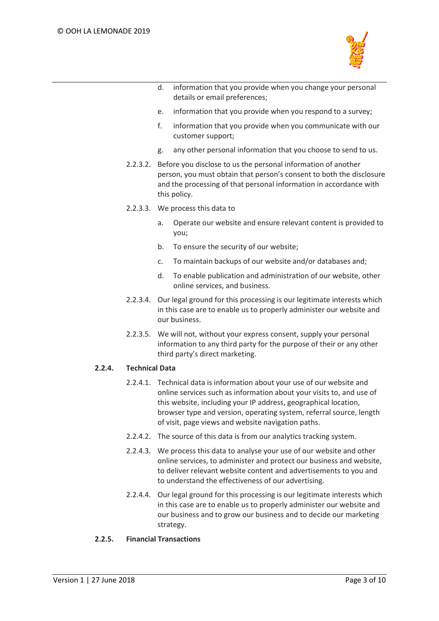

- d. information that you provide when you change your personal details or email preferences;
- e. information that you provide when you respond to a survey;
- f. information that you provide when you communicate with our customer support;
- g. any other personal information that you choose to send to us.
- 2.2.3.2. Before you disclose to us the personal information of another person, you must obtain that person's consent to both the disclosure and the processing of that personal information in accordance with this policy.
- 2.2.3.3. We process this data to
	- a. Operate our website and ensure relevant content is provided to you;
	- b. To ensure the security of our website;
	- c. To maintain backups of our website and/or databases and;
	- d. To enable publication and administration of our website, other online services, and business.
- 2.2.3.4. Our legal ground for this processing is our legitimate interests which in this case are to enable us to properly administer our website and our business.
- 2.2.3.5. We will not, without your express consent, supply your personal information to any third party for the purpose of their or any other third party's direct marketing.

# **2.2.4. Technical Data**

- 2.2.4.1. Technical data is information about your use of our website and online services such as information about your visits to, and use of this website, including your IP address, geographical location, browser type and version, operating system, referral source, length of visit, page views and website navigation paths.
- 2.2.4.2. The source of this data is from our analytics tracking system.
- 2.2.4.3. We process this data to analyse your use of our website and other online services, to administer and protect our business and website, to deliver relevant website content and advertisements to you and to understand the effectiveness of our advertising.
- 2.2.4.4. Our legal ground for this processing is our legitimate interests which in this case are to enable us to properly administer our website and our business and to grow our business and to decide our marketing strategy.

# **2.2.5. Financial Transactions**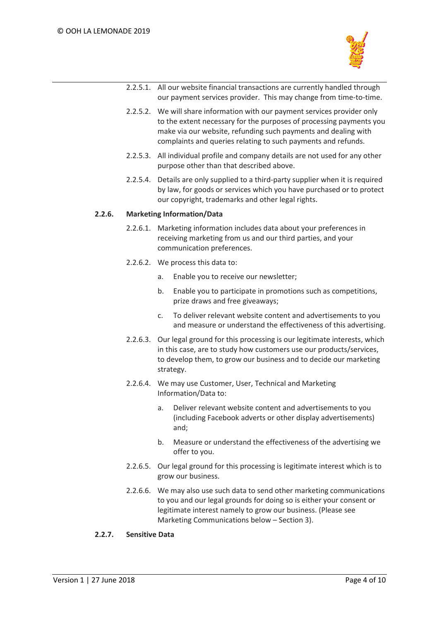

- 2.2.5.1. All our website financial transactions are currently handled through our payment services provider. This may change from time-to-time.
- 2.2.5.2. We will share information with our payment services provider only to the extent necessary for the purposes of processing payments you make via our website, refunding such payments and dealing with complaints and queries relating to such payments and refunds.
- 2.2.5.3. All individual profile and company details are not used for any other purpose other than that described above.
- 2.2.5.4. Details are only supplied to a third-party supplier when it is required by law, for goods or services which you have purchased or to protect our copyright, trademarks and other legal rights.

## **2.2.6. Marketing Information/Data**

- 2.2.6.1. Marketing information includes data about your preferences in receiving marketing from us and our third parties, and your communication preferences.
- 2.2.6.2. We process this data to:
	- a. Enable you to receive our newsletter;
	- b. Enable you to participate in promotions such as competitions, prize draws and free giveaways;
	- c. To deliver relevant website content and advertisements to you and measure or understand the effectiveness of this advertising.
- 2.2.6.3. Our legal ground for this processing is our legitimate interests, which in this case, are to study how customers use our products/services, to develop them, to grow our business and to decide our marketing strategy.
- 2.2.6.4. We may use Customer, User, Technical and Marketing Information/Data to:
	- a. Deliver relevant website content and advertisements to you (including Facebook adverts or other display advertisements) and;
	- b. Measure or understand the effectiveness of the advertising we offer to you.
- 2.2.6.5. Our legal ground for this processing is legitimate interest which is to grow our business.
- 2.2.6.6. We may also use such data to send other marketing communications to you and our legal grounds for doing so is either your consent or legitimate interest namely to grow our business. (Please see Marketing Communications below – Section 3).

# **2.2.7. Sensitive Data**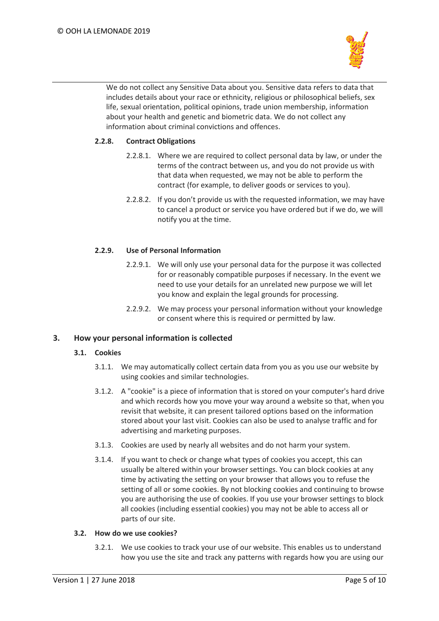

We do not collect any Sensitive Data about you. Sensitive data refers to data that includes details about your race or ethnicity, religious or philosophical beliefs, sex life, sexual orientation, political opinions, trade union membership, information about your health and genetic and biometric data. We do not collect any information about criminal convictions and offences.

# **2.2.8. Contract Obligations**

- 2.2.8.1. Where we are required to collect personal data by law, or under the terms of the contract between us, and you do not provide us with that data when requested, we may not be able to perform the contract (for example, to deliver goods or services to you).
- 2.2.8.2. If you don't provide us with the requested information, we may have to cancel a product or service you have ordered but if we do, we will notify you at the time.

# **2.2.9. Use of Personal Information**

- 2.2.9.1. We will only use your personal data for the purpose it was collected for or reasonably compatible purposes if necessary. In the event we need to use your details for an unrelated new purpose we will let you know and explain the legal grounds for processing.
- 2.2.9.2. We may process your personal information without your knowledge or consent where this is required or permitted by law.

# **3. How your personal information is collected**

## **3.1. Cookies**

- 3.1.1. We may automatically collect certain data from you as you use our website by using cookies and similar technologies.
- 3.1.2. A "cookie" is a piece of information that is stored on your computer's hard drive and which records how you move your way around a website so that, when you revisit that website, it can present tailored options based on the information stored about your last visit. Cookies can also be used to analyse traffic and for advertising and marketing purposes.
- 3.1.3. Cookies are used by nearly all websites and do not harm your system.
- 3.1.4. If you want to check or change what types of cookies you accept, this can usually be altered within your browser settings. You can block cookies at any time by activating the setting on your browser that allows you to refuse the setting of all or some cookies. By not blocking cookies and continuing to browse you are authorising the use of cookies. If you use your browser settings to block all cookies (including essential cookies) you may not be able to access all or parts of our site.

## **3.2. How do we use cookies?**

3.2.1. We use cookies to track your use of our website. This enables us to understand how you use the site and track any patterns with regards how you are using our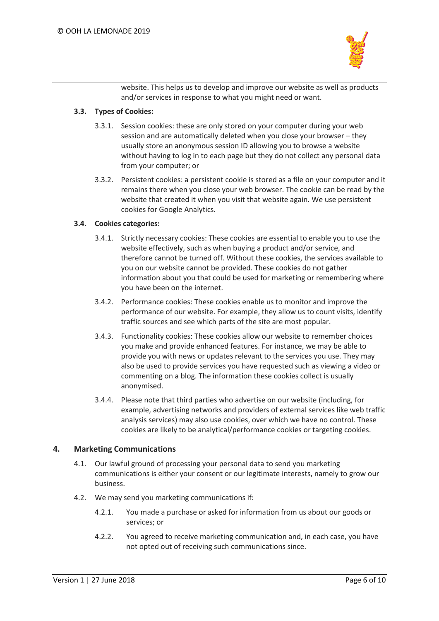

website. This helps us to develop and improve our website as well as products and/or services in response to what you might need or want.

## **3.3. Types of Cookies:**

- 3.3.1. Session cookies: these are only stored on your computer during your web session and are automatically deleted when you close your browser – they usually store an anonymous session ID allowing you to browse a website without having to log in to each page but they do not collect any personal data from your computer; or
- 3.3.2. Persistent cookies: a persistent cookie is stored as a file on your computer and it remains there when you close your web browser. The cookie can be read by the website that created it when you visit that website again. We use persistent cookies for Google Analytics.

## **3.4. Cookies categories:**

- 3.4.1. Strictly necessary cookies: These cookies are essential to enable you to use the website effectively, such as when buying a product and/or service, and therefore cannot be turned off. Without these cookies, the services available to you on our website cannot be provided. These cookies do not gather information about you that could be used for marketing or remembering where you have been on the internet.
- 3.4.2. Performance cookies: These cookies enable us to monitor and improve the performance of our website. For example, they allow us to count visits, identify traffic sources and see which parts of the site are most popular.
- 3.4.3. Functionality cookies: These cookies allow our website to remember choices you make and provide enhanced features. For instance, we may be able to provide you with news or updates relevant to the services you use. They may also be used to provide services you have requested such as viewing a video or commenting on a blog. The information these cookies collect is usually anonymised.
- 3.4.4. Please note that third parties who advertise on our website (including, for example, advertising networks and providers of external services like web traffic analysis services) may also use cookies, over which we have no control. These cookies are likely to be analytical/performance cookies or targeting cookies.

# **4. Marketing Communications**

- 4.1. Our lawful ground of processing your personal data to send you marketing communications is either your consent or our legitimate interests, namely to grow our business.
- 4.2. We may send you marketing communications if:
	- 4.2.1. You made a purchase or asked for information from us about our goods or services; or
	- 4.2.2. You agreed to receive marketing communication and, in each case, you have not opted out of receiving such communications since.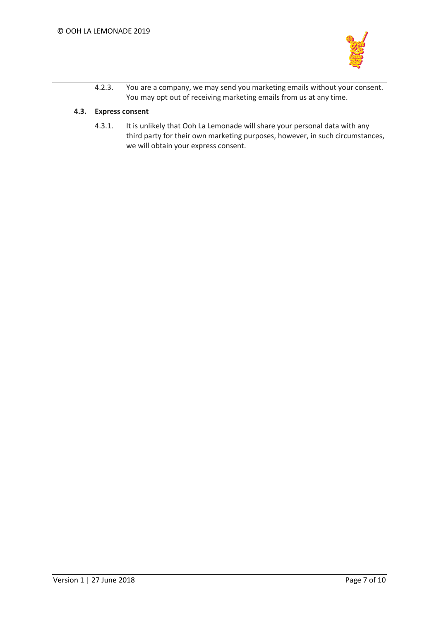

4.2.3. You are a company, we may send you marketing emails without your consent. You may opt out of receiving marketing emails from us at any time.

## **4.3. Express consent**

4.3.1. It is unlikely that Ooh La Lemonade will share your personal data with any third party for their own marketing purposes, however, in such circumstances, we will obtain your express consent.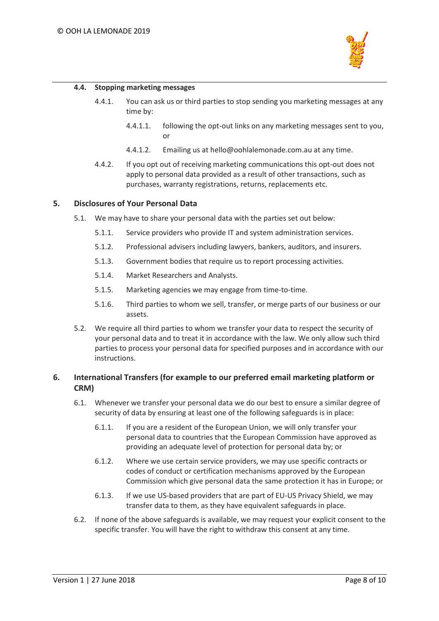

#### **4.4. Stopping marketing messages**

- 4.4.1. You can ask us or third parties to stop sending you marketing messages at any time by:
	- 4.4.1.1. following the opt-out links on any marketing messages sent to you, or
	- 4.4.1.2. Emailing us at hello@oohlalemonade.com.au at any time.
- 4.4.2. If you opt out of receiving marketing communications this opt-out does not apply to personal data provided as a result of other transactions, such as purchases, warranty registrations, returns, replacements etc.

## **5. Disclosures of Your Personal Data**

- 5.1. We may have to share your personal data with the parties set out below:
	- 5.1.1. Service providers who provide IT and system administration services.
	- 5.1.2. Professional advisers including lawyers, bankers, auditors, and insurers.
	- 5.1.3. Government bodies that require us to report processing activities.
	- 5.1.4. Market Researchers and Analysts.
	- 5.1.5. Marketing agencies we may engage from time-to-time.
	- 5.1.6. Third parties to whom we sell, transfer, or merge parts of our business or our assets.
- 5.2. We require all third parties to whom we transfer your data to respect the security of your personal data and to treat it in accordance with the law. We only allow such third parties to process your personal data for specified purposes and in accordance with our instructions.

# **6. International Transfers (for example to our preferred email marketing platform or CRM)**

- 6.1. Whenever we transfer your personal data we do our best to ensure a similar degree of security of data by ensuring at least one of the following safeguards is in place:
	- 6.1.1. If you are a resident of the European Union, we will only transfer your personal data to countries that the European Commission have approved as providing an adequate level of protection for personal data by; or
	- 6.1.2. Where we use certain service providers, we may use specific contracts or codes of conduct or certification mechanisms approved by the European Commission which give personal data the same protection it has in Europe; or
	- 6.1.3. If we use US-based providers that are part of EU-US Privacy Shield, we may transfer data to them, as they have equivalent safeguards in place.
- 6.2. If none of the above safeguards is available, we may request your explicit consent to the specific transfer. You will have the right to withdraw this consent at any time.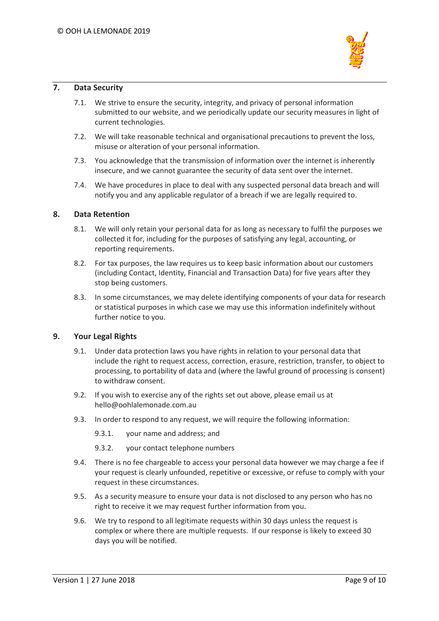

## **7. Data Security**

- 7.1. We strive to ensure the security, integrity, and privacy of personal information submitted to our website, and we periodically update our security measures in light of current technologies.
- 7.2. We will take reasonable technical and organisational precautions to prevent the loss, misuse or alteration of your personal information.
- 7.3. You acknowledge that the transmission of information over the internet is inherently insecure, and we cannot guarantee the security of data sent over the internet.
- 7.4. We have procedures in place to deal with any suspected personal data breach and will notify you and any applicable regulator of a breach if we are legally required to.

## **8. Data Retention**

- 8.1. We will only retain your personal data for as long as necessary to fulfil the purposes we collected it for, including for the purposes of satisfying any legal, accounting, or reporting requirements.
- 8.2. For tax purposes, the law requires us to keep basic information about our customers (including Contact, Identity, Financial and Transaction Data) for five years after they stop being customers.
- 8.3. In some circumstances, we may delete identifying components of your data for research or statistical purposes in which case we may use this information indefinitely without further notice to you.

# **9. Your Legal Rights**

- 9.1. Under data protection laws you have rights in relation to your personal data that include the right to request access, correction, erasure, restriction, transfer, to object to processing, to portability of data and (where the lawful ground of processing is consent) to withdraw consent.
- 9.2. If you wish to exercise any of the rights set out above, please email us at hello@oohlalemonade.com.au
- 9.3. In order to respond to any request, we will require the following information:
	- 9.3.1. your name and address; and
	- 9.3.2. your contact telephone numbers
- 9.4. There is no fee chargeable to access your personal data however we may charge a fee if your request is clearly unfounded, repetitive or excessive, or refuse to comply with your request in these circumstances.
- 9.5. As a security measure to ensure your data is not disclosed to any person who has no right to receive it we may request further information from you.
- 9.6. We try to respond to all legitimate requests within 30 days unless the request is complex or where there are multiple requests. If our response is likely to exceed 30 days you will be notified.